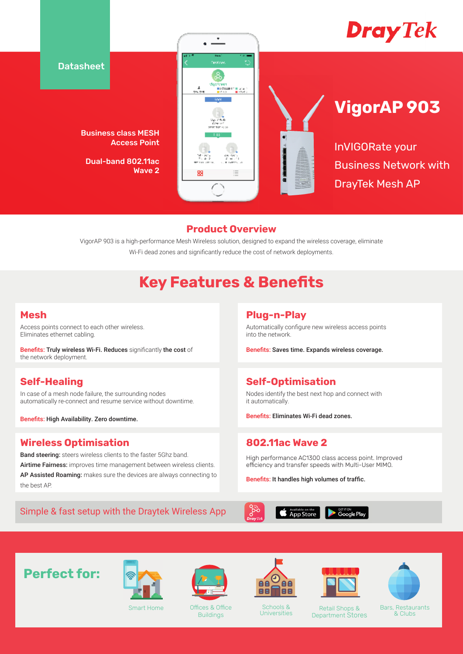

### **Product Overview**

VigorAP 903 is a high-performance Mesh Wireless solution, designed to expand the wireless coverage, eliminate Wi-Fi dead zones and significantly reduce the cost of network deployments.

# **Key Features & Benefits**

### **Mesh**

Access points connect to each other wireless. Eliminates ethernet cabling.

Benefits: Truly wireless Wi-Fi. Reduces significantly the cost of the network deployment.

### **Self-Healing**

In case of a mesh node failure, the surrounding nodes automatically re-connect and resume service without downtime.

Benefits: High Availability. Zero downtime.

### **Wireless Optimisation**

Band steering: steers wireless clients to the faster 5Ghz band. Airtime Fairness: improves time management between wireless clients. AP Assisted Roaming: makes sure the devices are always connecting to the best AP.

### Simple & fast setup with the Draytek Wireless App

### **Plug-n-Play**

Automatically configure new wireless access points into the network.

Benefits: Saves time. Expands wireless coverage.

### **Self-Optimisation**

Nodes identify the best next hop and connect with it automatically.

Benefits: Eliminates Wi-Fi dead zones.

### **802.11ac Wave 2**

High performance AC1300 class access point. Improved efficiency and transfer speeds with Multi-User MIMO.

Benefits: It handles high volumes of traffic.



**Perfect for:**



Smart Home



Offices & Office Buildings



Schools &<br>Universities





Universities Retail Shops & Department Stores

Bars, Restaurants

& Clubs